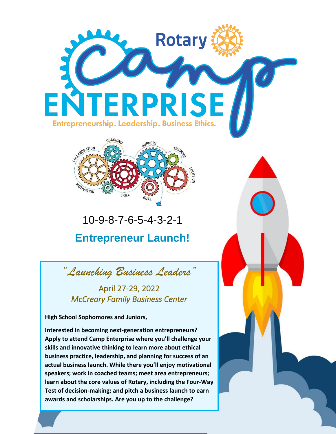



# 10-9-8-7-6-5-4-3-2-1 **Entrepreneur Launch!**

*"Launching Business Leaders"*

### April 27-29, 2022 *McCreary Family Business Center*

**High School Sophomores and Juniors,**

**Interested in becoming next-generation entrepreneurs? Apply to attend Camp Enterprise where you'll challenge your skills and innovative thinking to learn more about ethical business practice, leadership, and planning for success of an actual business launch. While there you'll enjoy motivational speakers; work in coached teams; meet area entrepreneurs; learn about the core values of Rotary, including the Four-Way Test of decision-making; and pitch a business launch to earn awards and scholarships. Are you up to the challenge?**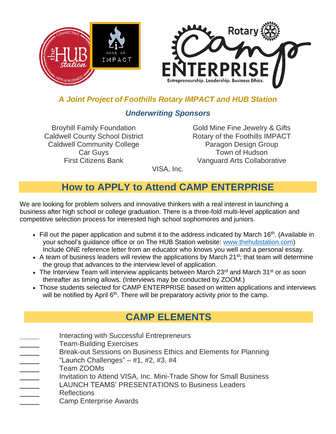

#### *A Joint Project of Foothills Rotary IMPACT and HUB Station*

#### *Underwriting Sponsors*

Caldwell County School District **Rotary of the Foothills IMPACT** Caldwell Community College **Paragon Design Group** 

Broyhill Family Foundation Gold Mine Fine Jewelry & Gifts Car Guys **Town of Hudson** First Citizens Bank Vanguard Arts Collaborative

VISA, Inc.

## **How to APPLY to Attend CAMP ENTERPRISE**

We are looking for problem solvers and innovative thinkers with a real interest in launching a business after high school or college graduation. There is a three-fold multi-level application and competitive selection process for interested high school sophomores and juniors.

- Fill out the paper application and submit it to the address indicated by March 16<sup>th</sup>. (Available in your school's guidance office or on The HUB Station website: [www.thehubstation.com\)](http://www.thehubstation.com/) Include ONE reference letter from an educator who knows you well and a personal essay.
- A team of business leaders will review the applications by March 21<sup>st</sup>; that team will determine the group that advances to the interview level of application.
- The Interview Team will interview applicants between March 23<sup>rd</sup> and March 31<sup>st</sup> or as soon thereafter as timing allows. (Interviews may be conducted by ZOOM.)
- Those students selected for CAMP ENTERPRISE based on written applications and interviews will be notified by April 6<sup>th</sup>. There will be preparatory activity prior to the camp.

## **CAMP ELEMENTS**

- Interacting with Successful Entrepreneurs
- Team-Building Exercises
	- Break-out Sessions on Business Ethics and Elements for Planning
- "Launch Challenges"  $-$  #1, #2, #3, #4
- Team ZOOMs
- Invitation to Attend VISA, Inc. Mini-Trade Show for Small Business
	- LAUNCH TEAMS' PRESENTATIONS to Business Leaders
- Reflections

j

Camp Enterprise Awards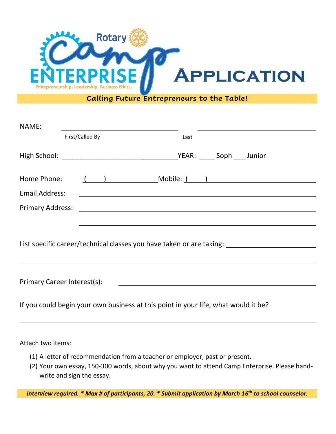

**Calling Future Entrepreneurs to the Table!**

| NAME:                                                                                                                                                | <u> 1989 - Johann Stein, fransk politik (f. 1989)</u> |                                                     |
|------------------------------------------------------------------------------------------------------------------------------------------------------|-------------------------------------------------------|-----------------------------------------------------|
|                                                                                                                                                      | First/Called By                                       | Last                                                |
|                                                                                                                                                      |                                                       |                                                     |
|                                                                                                                                                      |                                                       | Home Phone: ( ) Mobile: ( )                         |
| Email Address:                                                                                                                                       |                                                       | <u> 1989 - Johann Barbara, martxa alemaniar arg</u> |
|                                                                                                                                                      |                                                       |                                                     |
|                                                                                                                                                      |                                                       |                                                     |
| List specific career/technical classes you have taken or are taking: _______________________________                                                 |                                                       |                                                     |
|                                                                                                                                                      |                                                       |                                                     |
| Primary Career Interest(s):<br><u> 1989 - Johann Barbara, martin amerikan basal dan berasal dan berasal dalam basal dalam basal dalam basal dala</u> |                                                       |                                                     |
| If you could begin your own business at this point in your life, what would it be?                                                                   |                                                       |                                                     |

Attach two items:

- (1) A letter of recommendation from a teacher or employer, past or present.
- (2) Your own essay, 150-300 words, about why you want to attend Camp Enterprise. Please handwrite and sign the essay.

*Interview required. \* Max # of participants, 20. \* Submit application by March 16 th to school counselor.*